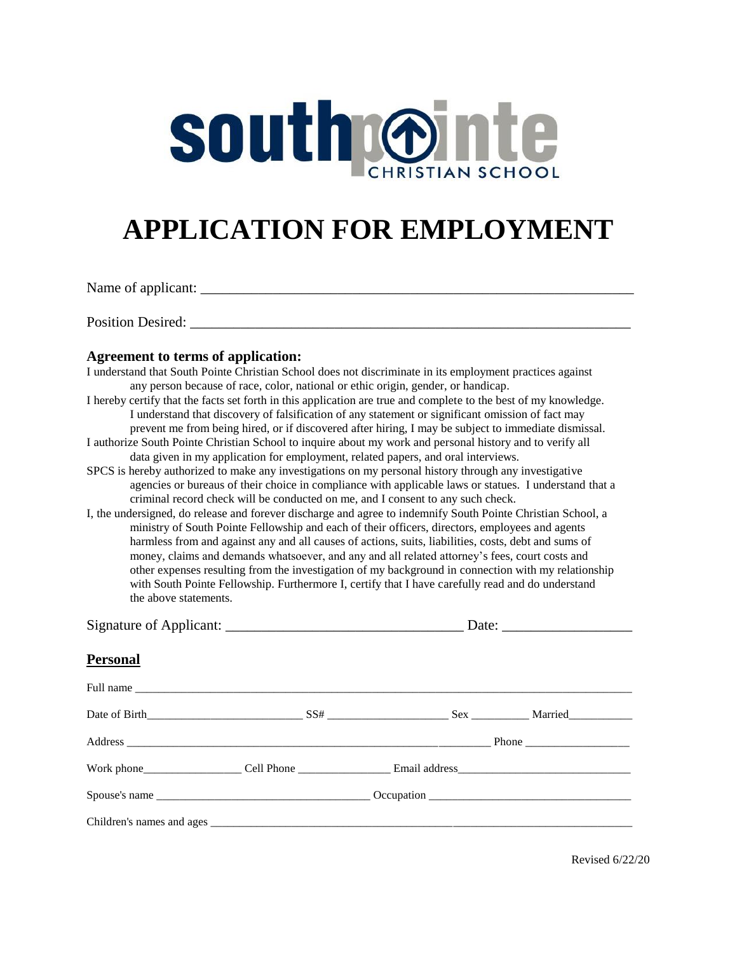# South Onle

## **APPLICATION FOR EMPLOYMENT**

Name of applicant: \_\_\_\_\_\_\_\_\_\_\_\_\_\_\_\_\_\_\_\_\_\_\_\_\_\_\_\_\_\_\_\_\_\_\_\_\_\_\_\_\_\_\_\_\_\_\_\_\_\_\_\_\_\_\_\_\_\_\_\_

Position Desired: \_\_\_\_\_\_\_\_\_\_\_\_\_\_\_\_\_\_\_\_\_\_\_\_\_\_\_\_\_\_\_\_\_\_\_\_\_\_\_\_\_\_\_\_\_\_\_\_\_\_\_\_\_\_\_\_\_\_\_\_\_

#### **Agreement to terms of application:**

| I understand that South Pointe Christian School does not discriminate in its employment practices against                                                                                                                                                                                                                                                                                                                                                                                            |  |  |  |  |  |  |  |  |
|------------------------------------------------------------------------------------------------------------------------------------------------------------------------------------------------------------------------------------------------------------------------------------------------------------------------------------------------------------------------------------------------------------------------------------------------------------------------------------------------------|--|--|--|--|--|--|--|--|
| any person because of race, color, national or ethic origin, gender, or handicap.                                                                                                                                                                                                                                                                                                                                                                                                                    |  |  |  |  |  |  |  |  |
| I hereby certify that the facts set forth in this application are true and complete to the best of my knowledge.<br>I understand that discovery of falsification of any statement or significant omission of fact may<br>prevent me from being hired, or if discovered after hiring, I may be subject to immediate dismissal.                                                                                                                                                                        |  |  |  |  |  |  |  |  |
| I authorize South Pointe Christian School to inquire about my work and personal history and to verify all<br>data given in my application for employment, related papers, and oral interviews.<br>SPCS is hereby authorized to make any investigations on my personal history through any investigative<br>agencies or bureaus of their choice in compliance with applicable laws or statues. I understand that a<br>criminal record check will be conducted on me, and I consent to any such check. |  |  |  |  |  |  |  |  |
|                                                                                                                                                                                                                                                                                                                                                                                                                                                                                                      |  |  |  |  |  |  |  |  |
|                                                                                                                                                                                                                                                                                                                                                                                                                                                                                                      |  |  |  |  |  |  |  |  |
| <b>Personal</b>                                                                                                                                                                                                                                                                                                                                                                                                                                                                                      |  |  |  |  |  |  |  |  |
|                                                                                                                                                                                                                                                                                                                                                                                                                                                                                                      |  |  |  |  |  |  |  |  |
|                                                                                                                                                                                                                                                                                                                                                                                                                                                                                                      |  |  |  |  |  |  |  |  |
|                                                                                                                                                                                                                                                                                                                                                                                                                                                                                                      |  |  |  |  |  |  |  |  |
|                                                                                                                                                                                                                                                                                                                                                                                                                                                                                                      |  |  |  |  |  |  |  |  |
|                                                                                                                                                                                                                                                                                                                                                                                                                                                                                                      |  |  |  |  |  |  |  |  |
|                                                                                                                                                                                                                                                                                                                                                                                                                                                                                                      |  |  |  |  |  |  |  |  |

Revised 6/22/20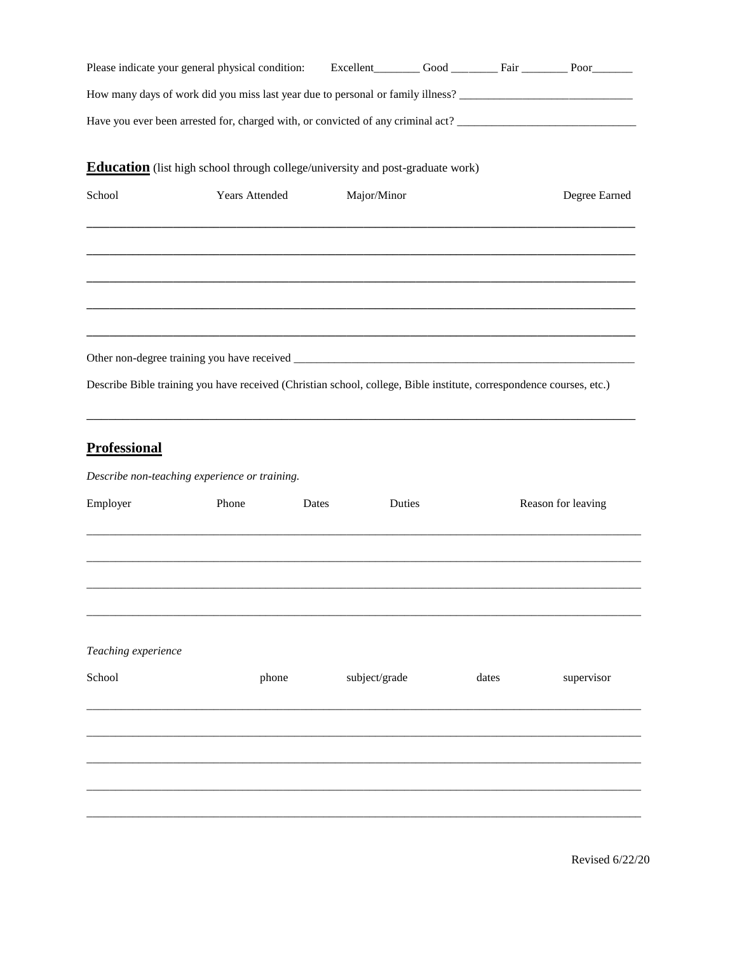|                     | Please indicate your general physical condition:                                                                     |               |        |               |                    |
|---------------------|----------------------------------------------------------------------------------------------------------------------|---------------|--------|---------------|--------------------|
|                     | How many days of work did you miss last year due to personal or family illness?                                      |               |        |               |                    |
|                     |                                                                                                                      |               |        |               |                    |
|                     | <b>Education</b> (list high school through college/university and post-graduate work)                                |               |        |               |                    |
| School              | Years Attended                                                                                                       | Major/Minor   |        | Degree Earned |                    |
|                     |                                                                                                                      |               |        |               |                    |
|                     | Describe Bible training you have received (Christian school, college, Bible institute, correspondence courses, etc.) |               |        |               |                    |
| <b>Professional</b> | Describe non-teaching experience or training.                                                                        |               |        |               |                    |
|                     |                                                                                                                      |               |        |               |                    |
| Employer            | Phone                                                                                                                | Dates         | Duties |               | Reason for leaving |
|                     |                                                                                                                      |               |        |               |                    |
| Teaching experience |                                                                                                                      |               |        |               |                    |
| School              | phone                                                                                                                | subject/grade |        | dates         | supervisor         |
|                     |                                                                                                                      |               |        |               |                    |
|                     |                                                                                                                      |               |        |               |                    |
|                     |                                                                                                                      |               |        |               |                    |
|                     |                                                                                                                      |               |        |               |                    |
|                     |                                                                                                                      |               |        |               |                    |
|                     |                                                                                                                      |               |        |               |                    |

Revised 6/22/20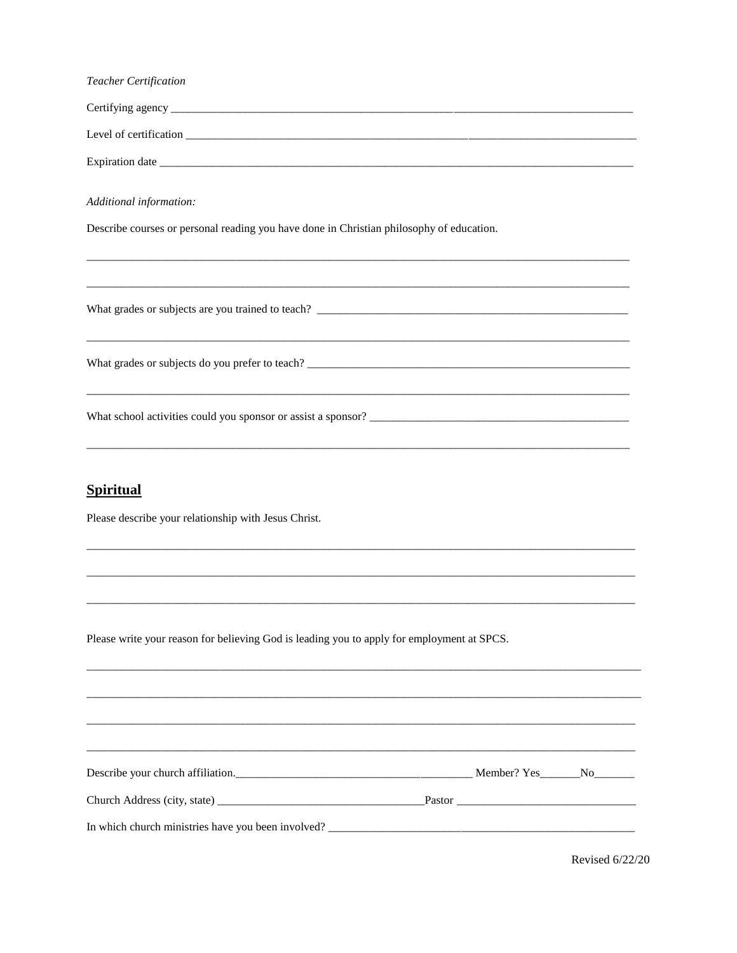| Teacher Certification                                                                      |  |
|--------------------------------------------------------------------------------------------|--|
|                                                                                            |  |
|                                                                                            |  |
|                                                                                            |  |
| Additional information:                                                                    |  |
| Describe courses or personal reading you have done in Christian philosophy of education.   |  |
|                                                                                            |  |
|                                                                                            |  |
|                                                                                            |  |
| <b>Spiritual</b><br>Please describe your relationship with Jesus Christ.                   |  |
| Please write your reason for believing God is leading you to apply for employment at SPCS. |  |
| Describe your church affiliation.<br><u>Describe your church affiliation.</u>              |  |
|                                                                                            |  |
|                                                                                            |  |
|                                                                                            |  |

Revised 6/22/20